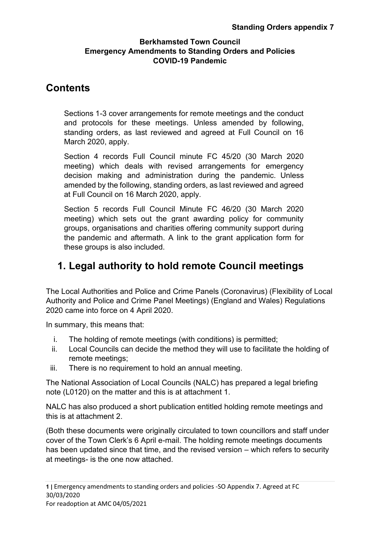# **Contents**

Sections 1-3 cover arrangements for remote meetings and the conduct and protocols for these meetings. Unless amended by following, standing orders, as last reviewed and agreed at Full Council on 16 March 2020, apply.

Section 4 records Full Council minute FC 45/20 (30 March 2020 meeting) which deals with revised arrangements for emergency decision making and administration during the pandemic. Unless amended by the following, standing orders, as last reviewed and agreed at Full Council on 16 March 2020, apply.

Section 5 records Full Council Minute FC 46/20 (30 March 2020 meeting) which sets out the grant awarding policy for community groups, organisations and charities offering community support during the pandemic and aftermath. A link to the grant application form for these groups is also included.

# **1. Legal authority to hold remote Council meetings**

The Local Authorities and Police and Crime Panels (Coronavirus) (Flexibility of Local Authority and Police and Crime Panel Meetings) (England and Wales) Regulations 2020 came into force on 4 April 2020.

In summary, this means that:

- i. The holding of remote meetings (with conditions) is permitted;
- ii. Local Councils can decide the method they will use to facilitate the holding of remote meetings;
- iii. There is no requirement to hold an annual meeting.

The National Association of Local Councils (NALC) has prepared a legal briefing note (L0120) on the matter and this is at attachment 1.

NALC has also produced a short publication entitled holding remote meetings and this is at attachment 2.

(Both these documents were originally circulated to town councillors and staff under cover of the Town Clerk's 6 April e-mail. The holding remote meetings documents has been updated since that time, and the revised version – which refers to security at meetings- is the one now attached.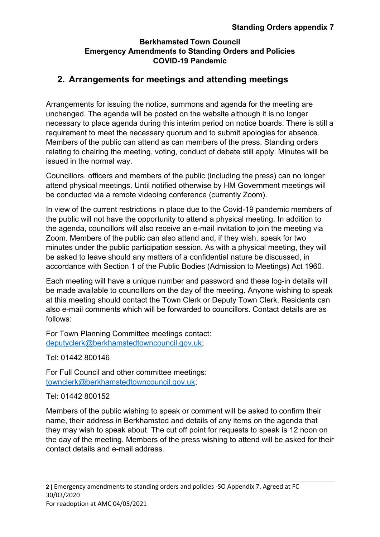# **2. Arrangements for meetings and attending meetings**

Arrangements for issuing the notice, summons and agenda for the meeting are unchanged. The agenda will be posted on the website although it is no longer necessary to place agenda during this interim period on notice boards. There is still a requirement to meet the necessary quorum and to submit apologies for absence. Members of the public can attend as can members of the press. Standing orders relating to chairing the meeting, voting, conduct of debate still apply. Minutes will be issued in the normal way.

Councillors, officers and members of the public (including the press) can no longer attend physical meetings. Until notified otherwise by HM Government meetings will be conducted via a remote videoing conference (currently Zoom).

In view of the current restrictions in place due to the Covid-19 pandemic members of the public will not have the opportunity to attend a physical meeting. In addition to the agenda, councillors will also receive an e-mail invitation to join the meeting via Zoom. Members of the public can also attend and, if they wish, speak for two minutes under the public participation session. As with a physical meeting, they will be asked to leave should any matters of a confidential nature be discussed, in accordance with Section 1 of the Public Bodies (Admission to Meetings) Act 1960.

Each meeting will have a unique number and password and these log-in details will be made available to councillors on the day of the meeting. Anyone wishing to speak at this meeting should contact the Town Clerk or Deputy Town Clerk. Residents can also e-mail comments which will be forwarded to councillors. Contact details are as follows:

For Town Planning Committee meetings contact: [deputyclerk@berkhamstedtowncouncil.gov.uk;](mailto:deputyclerk@berkhamstedtowncouncil.gov.uk)

Tel: 01442 800146

For Full Council and other committee meetings: [townclerk@berkhamstedtowncouncil.gov.uk;](mailto:townclerk@berkhamstedtowncouncil.gov.uk)

#### Tel: 01442 800152

Members of the public wishing to speak or comment will be asked to confirm their name, their address in Berkhamsted and details of any items on the agenda that they may wish to speak about. The cut off point for requests to speak is 12 noon on the day of the meeting. Members of the press wishing to attend will be asked for their contact details and e-mail address.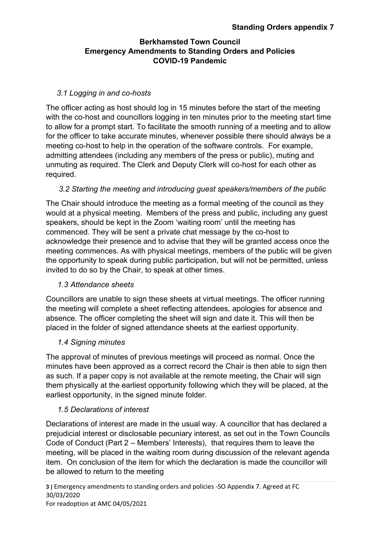#### *3.1 Logging in and co-hosts*

The officer acting as host should log in 15 minutes before the start of the meeting with the co-host and councillors logging in ten minutes prior to the meeting start time to allow for a prompt start. To facilitate the smooth running of a meeting and to allow for the officer to take accurate minutes, whenever possible there should always be a meeting co-host to help in the operation of the software controls. For example, admitting attendees (including any members of the press or public), muting and unmuting as required. The Clerk and Deputy Clerk will co-host for each other as required.

#### *3.2 Starting the meeting and introducing guest speakers/members of the public*

The Chair should introduce the meeting as a formal meeting of the council as they would at a physical meeting. Members of the press and public, including any guest speakers, should be kept in the Zoom 'waiting room' until the meeting has commenced. They will be sent a private chat message by the co-host to acknowledge their presence and to advise that they will be granted access once the meeting commences. As with physical meetings, members of the public will be given the opportunity to speak during public participation, but will not be permitted, unless invited to do so by the Chair, to speak at other times.

#### *1.3 Attendance sheets*

Councillors are unable to sign these sheets at virtual meetings. The officer running the meeting will complete a sheet reflecting attendees, apologies for absence and absence. The officer completing the sheet will sign and date it. This will then be placed in the folder of signed attendance sheets at the earliest opportunity.

#### *1.4 Signing minutes*

The approval of minutes of previous meetings will proceed as normal. Once the minutes have been approved as a correct record the Chair is then able to sign then as such. If a paper copy is not available at the remote meeting, the Chair will sign them physically at the earliest opportunity following which they will be placed, at the earliest opportunity, in the signed minute folder.

# *1.5 Declarations of interest*

Declarations of interest are made in the usual way. A councillor that has declared a prejudicial interest or disclosable pecuniary interest, as set out in the Town Councils Code of Conduct (Part 2 – Members' Interests), that requires them to leave the meeting, will be placed in the waiting room during discussion of the relevant agenda item. On conclusion of the item for which the declaration is made the councillor will be allowed to return to the meeting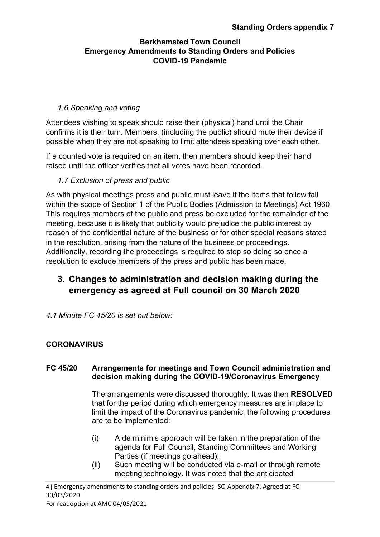### *1.6 Speaking and voting*

Attendees wishing to speak should raise their (physical) hand until the Chair confirms it is their turn. Members, (including the public) should mute their device if possible when they are not speaking to limit attendees speaking over each other.

If a counted vote is required on an item, then members should keep their hand raised until the officer verifies that all votes have been recorded.

#### *1.7 Exclusion of press and public*

As with physical meetings press and public must leave if the items that follow fall within the scope of Section 1 of the Public Bodies (Admission to Meetings) Act 1960. This requires members of the public and press be excluded for the remainder of the meeting, because it is likely that publicity would prejudice the public interest by reason of the confidential nature of the business or for other special reasons stated in the resolution, arising from the nature of the business or proceedings. Additionally, recording the proceedings is required to stop so doing so once a resolution to exclude members of the press and public has been made.

# **3. Changes to administration and decision making during the emergency as agreed at Full council on 30 March 2020**

*4.1 Minute FC 45/20 is set out below:* 

# **CORONAVIRUS**

#### **FC 45/20 Arrangements for meetings and Town Council administration and decision making during the COVID-19/Coronavirus Emergency**

The arrangements were discussed thoroughly**.** It was then **RESOLVED** that for the period during which emergency measures are in place to limit the impact of the Coronavirus pandemic, the following procedures are to be implemented:

- (i) A de minimis approach will be taken in the preparation of the agenda for Full Council, Standing Committees and Working Parties (if meetings go ahead);
- (ii) Such meeting will be conducted via e-mail or through remote meeting technology. It was noted that the anticipated

**4 |** Emergency amendments to standing orders and policies -SO Appendix 7. Agreed at FC 30/03/2020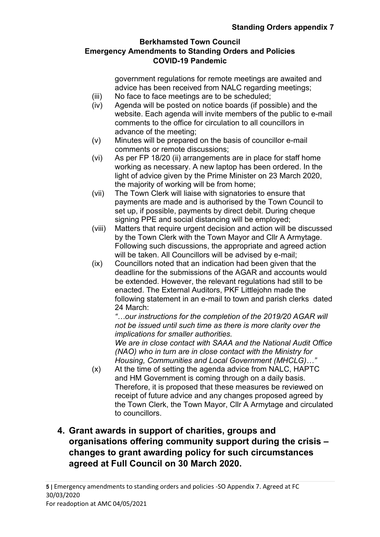government regulations for remote meetings are awaited and advice has been received from NALC regarding meetings;

- (iii) No face to face meetings are to be scheduled;
- (iv) Agenda will be posted on notice boards (if possible) and the website. Each agenda will invite members of the public to e-mail comments to the office for circulation to all councillors in advance of the meeting;
- (v) Minutes will be prepared on the basis of councillor e-mail comments or remote discussions;
- (vi) As per FP 18/20 (ii) arrangements are in place for staff home working as necessary. A new laptop has been ordered. In the light of advice given by the Prime Minister on 23 March 2020, the majority of working will be from home;
- (vii) The Town Clerk will liaise with signatories to ensure that payments are made and is authorised by the Town Council to set up, if possible, payments by direct debit. During cheque signing PPE and social distancing will be employed;
- (viii) Matters that require urgent decision and action will be discussed by the Town Clerk with the Town Mayor and Cllr A Armytage. Following such discussions, the appropriate and agreed action will be taken. All Councillors will be advised by e-mail;
- (ix) Councillors noted that an indication had been given that the deadline for the submissions of the AGAR and accounts would be extended. However, the relevant regulations had still to be enacted. The External Auditors, PKF Littlejohn made the following statement in an e-mail to town and parish clerks dated 24 March:

*"…our instructions for the completion of the 2019/20 AGAR will not be issued until such time as there is more clarity over the implications for smaller authorities.*

*We are in close contact with SAAA and the National Audit Office (NAO) who in turn are in close contact with the Ministry for Housing, Communities and Local Government (MHCLG)…"*

(x) At the time of setting the agenda advice from NALC, HAPTC and HM Government is coming through on a daily basis. Therefore, it is proposed that these measures be reviewed on receipt of future advice and any changes proposed agreed by the Town Clerk, the Town Mayor, Cllr A Armytage and circulated to councillors.

# **4. Grant awards in support of charities, groups and organisations offering community support during the crisis – changes to grant awarding policy for such circumstances agreed at Full Council on 30 March 2020.**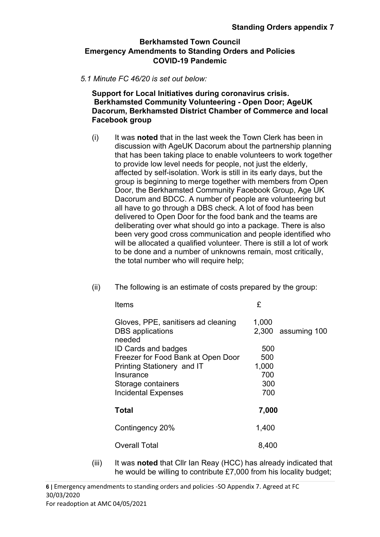#### *5.1 Minute FC 46/20 is set out below:*

**Support for Local Initiatives during coronavirus crisis. Berkhamsted Community Volunteering - Open Door; AgeUK Dacorum, Berkhamsted District Chamber of Commerce and local Facebook group**

(i) It was **noted** that in the last week the Town Clerk has been in discussion with AgeUK Dacorum about the partnership planning that has been taking place to enable volunteers to work together to provide low level needs for people, not just the elderly, affected by self-isolation. Work is still in its early days, but the group is beginning to merge together with members from Open Door, the Berkhamsted Community Facebook Group, Age UK Dacorum and BDCC. A number of people are volunteering but all have to go through a DBS check. A lot of food has been delivered to Open Door for the food bank and the teams are deliberating over what should go into a package. There is also been very good cross communication and people identified who will be allocated a qualified volunteer. There is still a lot of work to be done and a number of unknowns remain, most critically, the total number who will require help;

| Items                                                                    | £     |                      |
|--------------------------------------------------------------------------|-------|----------------------|
| Gloves, PPE, sanitisers ad cleaning<br><b>DBS</b> applications<br>needed | 1,000 | $2,300$ assuming 100 |
| <b>ID Cards and badges</b>                                               | 500   |                      |
| Freezer for Food Bank at Open Door                                       | 500   |                      |
| Printing Stationery and IT                                               | 1,000 |                      |
| Insurance                                                                | 700   |                      |
| Storage containers                                                       | 300   |                      |
| <b>Incidental Expenses</b>                                               | 700   |                      |
|                                                                          |       |                      |
| <b>Total</b>                                                             | 7,000 |                      |
| Contingency 20%                                                          | 1,400 |                      |
| <b>Overall Total</b>                                                     | 8,400 |                      |

(ii) The following is an estimate of costs prepared by the group:

(iii) It was **noted** that Cllr Ian Reay (HCC) has already indicated that he would be willing to contribute £7,000 from his locality budget;

**6 |** Emergency amendments to standing orders and policies -SO Appendix 7. Agreed at FC 30/03/2020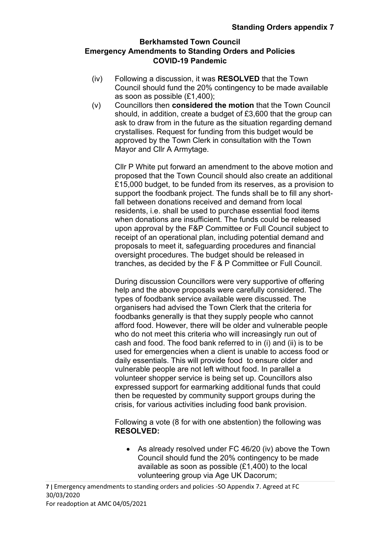- (iv) Following a discussion, it was **RESOLVED** that the Town Council should fund the 20% contingency to be made available as soon as possible (£1,400);
- (v) Councillors then **considered the motion** that the Town Council should, in addition, create a budget of £3,600 that the group can ask to draw from in the future as the situation regarding demand crystallises. Request for funding from this budget would be approved by the Town Clerk in consultation with the Town Mayor and Cllr A Armytage.

Cllr P White put forward an amendment to the above motion and proposed that the Town Council should also create an additional £15,000 budget, to be funded from its reserves, as a provision to support the foodbank project. The funds shall be to fill any shortfall between donations received and demand from local residents, i.e. shall be used to purchase essential food items when donations are insufficient. The funds could be released upon approval by the F&P Committee or Full Council subject to receipt of an operational plan, including potential demand and proposals to meet it, safeguarding procedures and financial oversight procedures. The budget should be released in tranches, as decided by the F & P Committee or Full Council.

During discussion Councillors were very supportive of offering help and the above proposals were carefully considered. The types of foodbank service available were discussed. The organisers had advised the Town Clerk that the criteria for foodbanks generally is that they supply people who cannot afford food. However, there will be older and vulnerable people who do not meet this criteria who will increasingly run out of cash and food. The food bank referred to in (i) and (ii) is to be used for emergencies when a client is unable to access food or daily essentials. This will provide food to ensure older and vulnerable people are not left without food. In parallel a volunteer shopper service is being set up. Councillors also expressed support for earmarking additional funds that could then be requested by community support groups during the crisis, for various activities including food bank provision.

Following a vote (8 for with one abstention) the following was **RESOLVED:**

• As already resolved under FC 46/20 (iv) above the Town Council should fund the 20% contingency to be made available as soon as possible (£1,400) to the local volunteering group via Age UK Dacorum;

**7 |** Emergency amendments to standing orders and policies -SO Appendix 7. Agreed at FC 30/03/2020 For readoption at AMC 04/05/2021